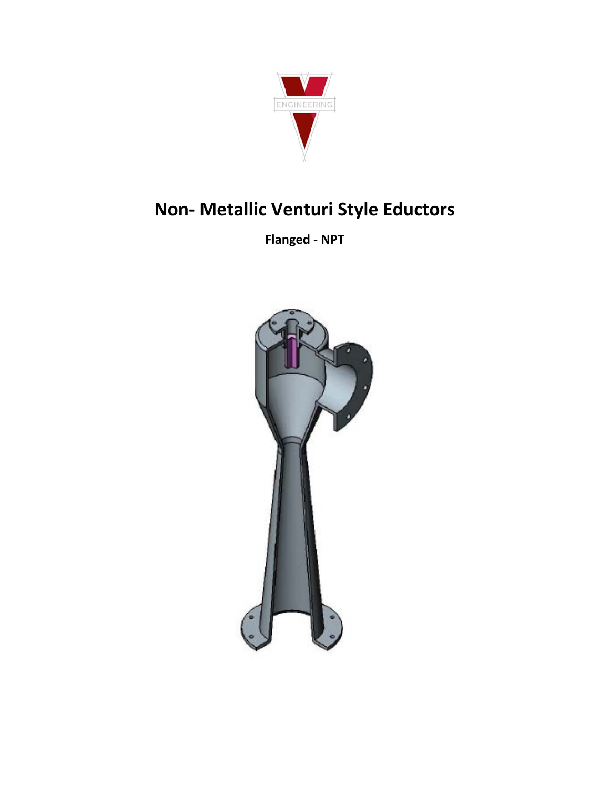

# Non- Metallic Venturi Style Eductors

**Flanged - NPT** 

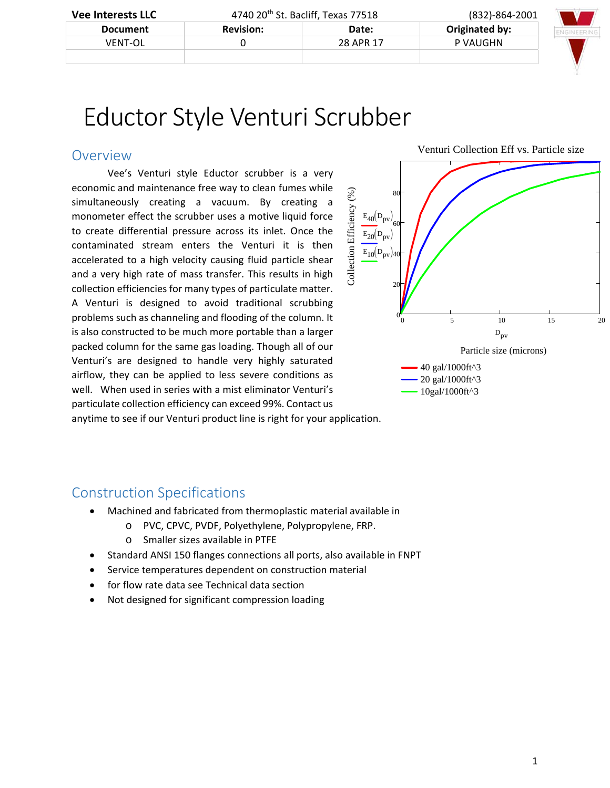| <b>Vee Interests LLC</b> |                  | 4740 20 <sup>th</sup> St. Bacliff, Texas 77518 |                | $(832) - 864 - 2001$ |
|--------------------------|------------------|------------------------------------------------|----------------|----------------------|
| <b>Document</b>          | <b>Revision:</b> | Date:                                          | Originated by: |                      |
| <b>VFNT-OL</b>           |                  | 28 APR 17                                      | P VAUGHN       |                      |
|                          |                  |                                                |                |                      |

# Eductor Style Venturi Scrubber

#### Overview

Vee's Venturi style Eductor scrubber is a very economic and maintenance free way to clean fumes while simultaneously creating a vacuum. By creating a monometer effect the scrubber uses a motive liquid force to create differential pressure across its inlet. Once the contaminated stream enters the Venturi it is then accelerated to a high velocity causing fluid particle shear and a very high rate of mass transfer. This results in high collection efficiencies for many types of particulate matter. A Venturi is designed to avoid traditional scrubbing problems such as channeling and flooding of the column. It is also constructed to be much more portable than a larger packed column for the same gas loading. Though all of our Venturi's are designed to handle very highly saturated airflow, they can be applied to less severe conditions as well. When used in series with a mist eliminator Venturi's particulate collection efficiency can exceed 99%. Contact us



anytime to see if our Venturi product line is right for your application.

## Construction Specifications

- Machined and fabricated from thermoplastic material available in
	- o PVC, CPVC, PVDF, Polyethylene, Polypropylene, FRP.
	- o Smaller sizes available in PTFE
- Standard ANSI 150 flanges connections all ports, also available in FNPT
- Service temperatures dependent on construction material
- for flow rate data see Technical data section
- Not designed for significant compression loading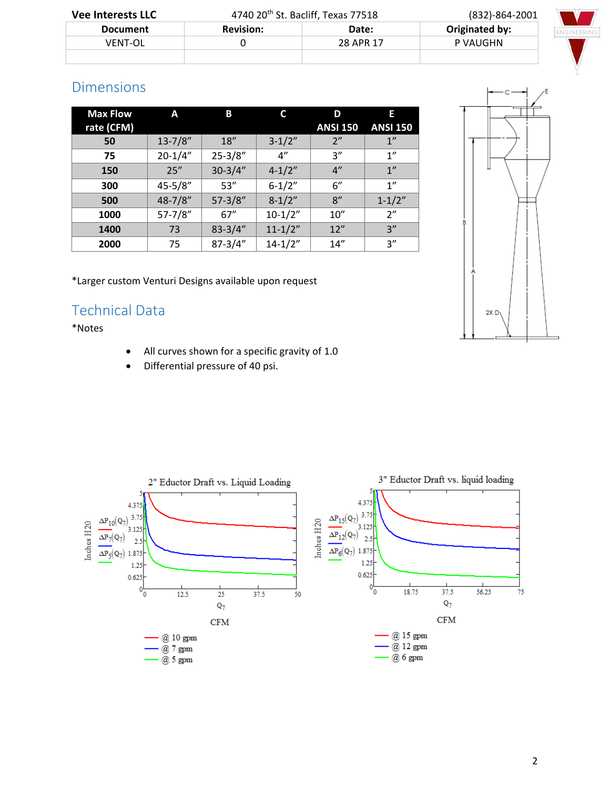| <b>Vee Interests LLC</b> | 4740 20 <sup>th</sup> St. Bacliff, Texas 77518 |           | $(832) - 864 - 2001$ |  |
|--------------------------|------------------------------------------------|-----------|----------------------|--|
| <b>Document</b>          | <b>Revision:</b>                               | Date:     | Originated by:       |  |
| <b>VFNT-OL</b>           |                                                | 28 APR 17 | P VAUGHN             |  |
|                          |                                                |           |                      |  |

# Dimensions

| <b>Max Flow</b> | A            | B           |                    | D                  | Е               |
|-----------------|--------------|-------------|--------------------|--------------------|-----------------|
| rate (CFM)      |              |             |                    | <b>ANSI 150</b>    | <b>ANSI 150</b> |
| 50              | $13 - 7/8"$  | 18''        | $3-1/2"$           | 2"                 | 1"              |
| 75              | $20 - 1/4"$  | $25 - 3/8"$ | $4^{\prime\prime}$ | 3''                | 1"              |
| 150             | 25"          | $30 - 3/4"$ | $4 - 1/2"$         | $4^{\prime\prime}$ | 1"              |
| 300             | $45 - 5/8"$  | 53''        | $6 - 1/2"$         | 6''                | 1"              |
| 500             | $48 - 7/8$ " | $57 - 3/8"$ | $8 - 1/2"$         | 8''                | $1 - 1/2"$      |
| 1000            | $57 - 7/8"$  | 67''        | $10-1/2"$          | 10''               | 2"              |
| 1400            | 73           | $83 - 3/4"$ | $11 - 1/2"$        | 12"                | 3''             |
| 2000            | 75           | $87 - 3/4"$ | $14 - 1/2"$        | 14''               | 3''             |

\*Larger custom Venturi Designs available upon request

# Technical Data

\*Notes

- All curves shown for a specific gravity of 1.0
- Differential pressure of 40 psi.



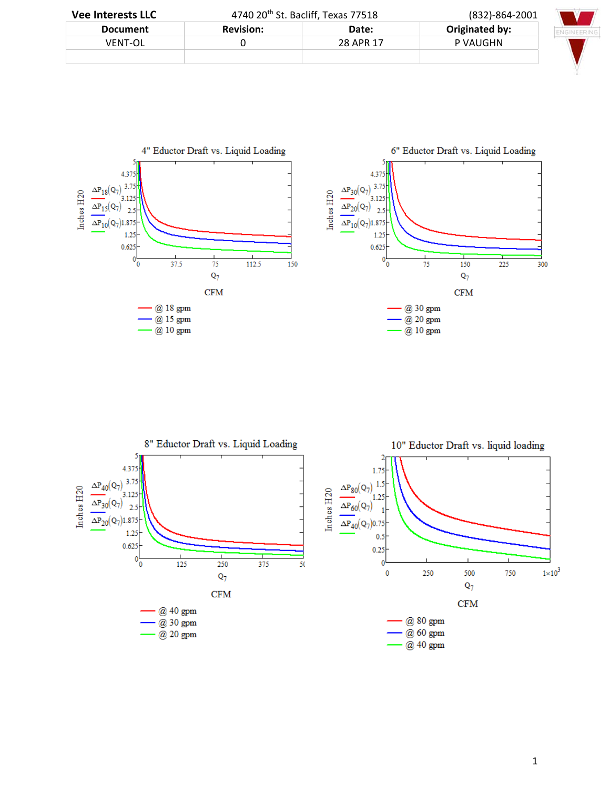| <b>Vee Interests LLC</b> | 4740 $20th$ St. Bacliff, Texas 77518 |           | (832)-864-2001 |  |
|--------------------------|--------------------------------------|-----------|----------------|--|
| <b>Document</b>          | <b>Revision:</b>                     | Date:     | Originated by: |  |
| <b>VFNT-OL</b>           |                                      | 28 APR 17 | P VAUGHN       |  |
|                          |                                      |           |                |  |